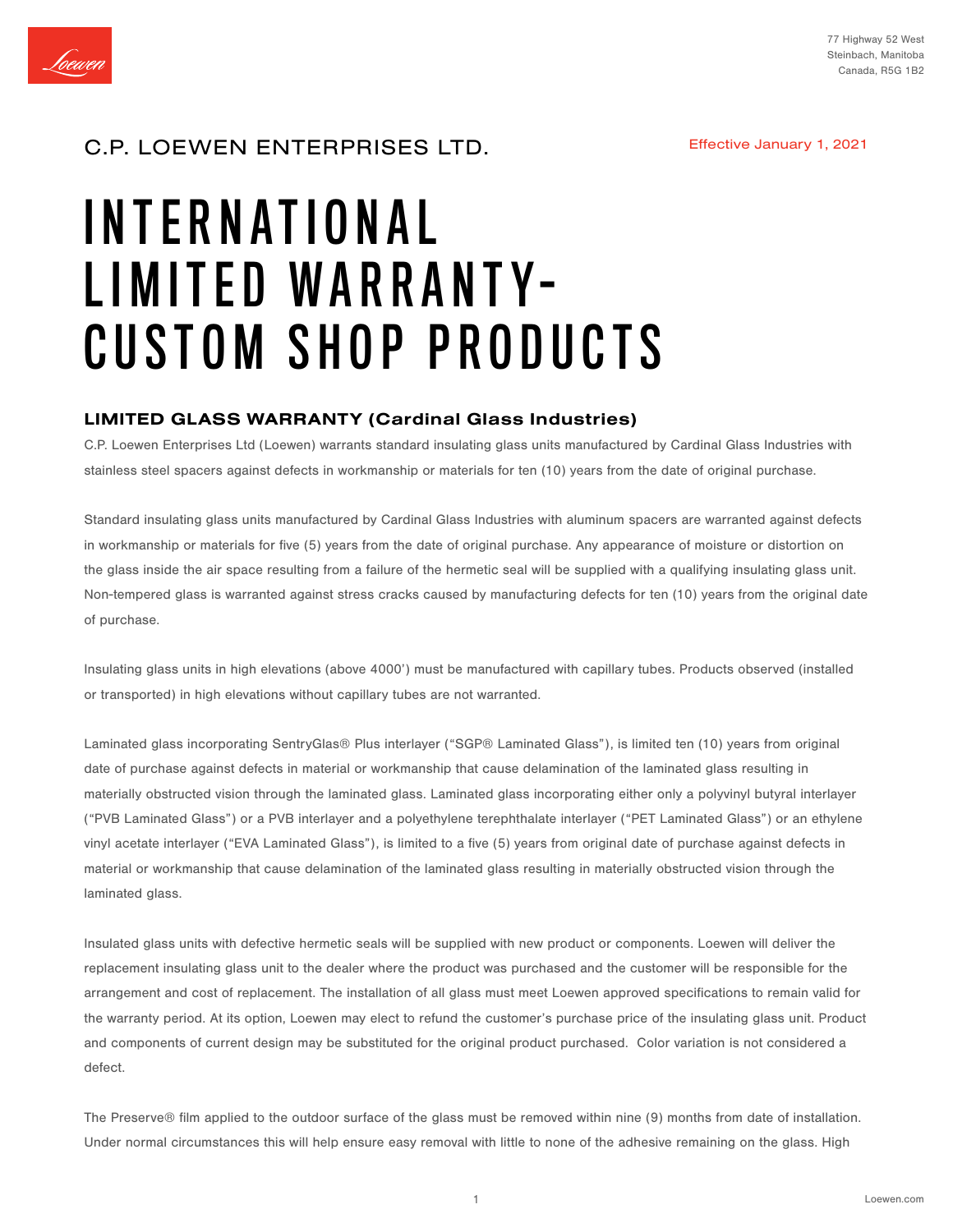

#### Effective January 1, 2021

## C.P. LOEWEN ENTERPRISES LTD.

# INTERNATIONAL LIMITED WARRANTY-CUSTOM SHOP PRODUCTS

## LIMITED GLASS WARRANTY (Cardinal Glass Industries)

C.P. Loewen Enterprises Ltd (Loewen) warrants standard insulating glass units manufactured by Cardinal Glass Industries with stainless steel spacers against defects in workmanship or materials for ten (10) years from the date of original purchase.

Standard insulating glass units manufactured by Cardinal Glass Industries with aluminum spacers are warranted against defects in workmanship or materials for five (5) years from the date of original purchase. Any appearance of moisture or distortion on the glass inside the air space resulting from a failure of the hermetic seal will be supplied with a qualifying insulating glass unit. Non-tempered glass is warranted against stress cracks caused by manufacturing defects for ten (10) years from the original date of purchase.

Insulating glass units in high elevations (above 4000') must be manufactured with capillary tubes. Products observed (installed or transported) in high elevations without capillary tubes are not warranted.

Laminated glass incorporating SentryGlas® Plus interlayer ("SGP® Laminated Glass"), is limited ten (10) years from original date of purchase against defects in material or workmanship that cause delamination of the laminated glass resulting in materially obstructed vision through the laminated glass. Laminated glass incorporating either only a polyvinyl butyral interlayer ("PVB Laminated Glass") or a PVB interlayer and a polyethylene terephthalate interlayer ("PET Laminated Glass") or an ethylene vinyl acetate interlayer ("EVA Laminated Glass"), is limited to a five (5) years from original date of purchase against defects in material or workmanship that cause delamination of the laminated glass resulting in materially obstructed vision through the laminated glass.

Insulated glass units with defective hermetic seals will be supplied with new product or components. Loewen will deliver the replacement insulating glass unit to the dealer where the product was purchased and the customer will be responsible for the arrangement and cost of replacement. The installation of all glass must meet Loewen approved specifications to remain valid for the warranty period. At its option, Loewen may elect to refund the customer's purchase price of the insulating glass unit. Product and components of current design may be substituted for the original product purchased. Color variation is not considered a defect.

The Preserve® film applied to the outdoor surface of the glass must be removed within nine (9) months from date of installation. Under normal circumstances this will help ensure easy removal with little to none of the adhesive remaining on the glass. High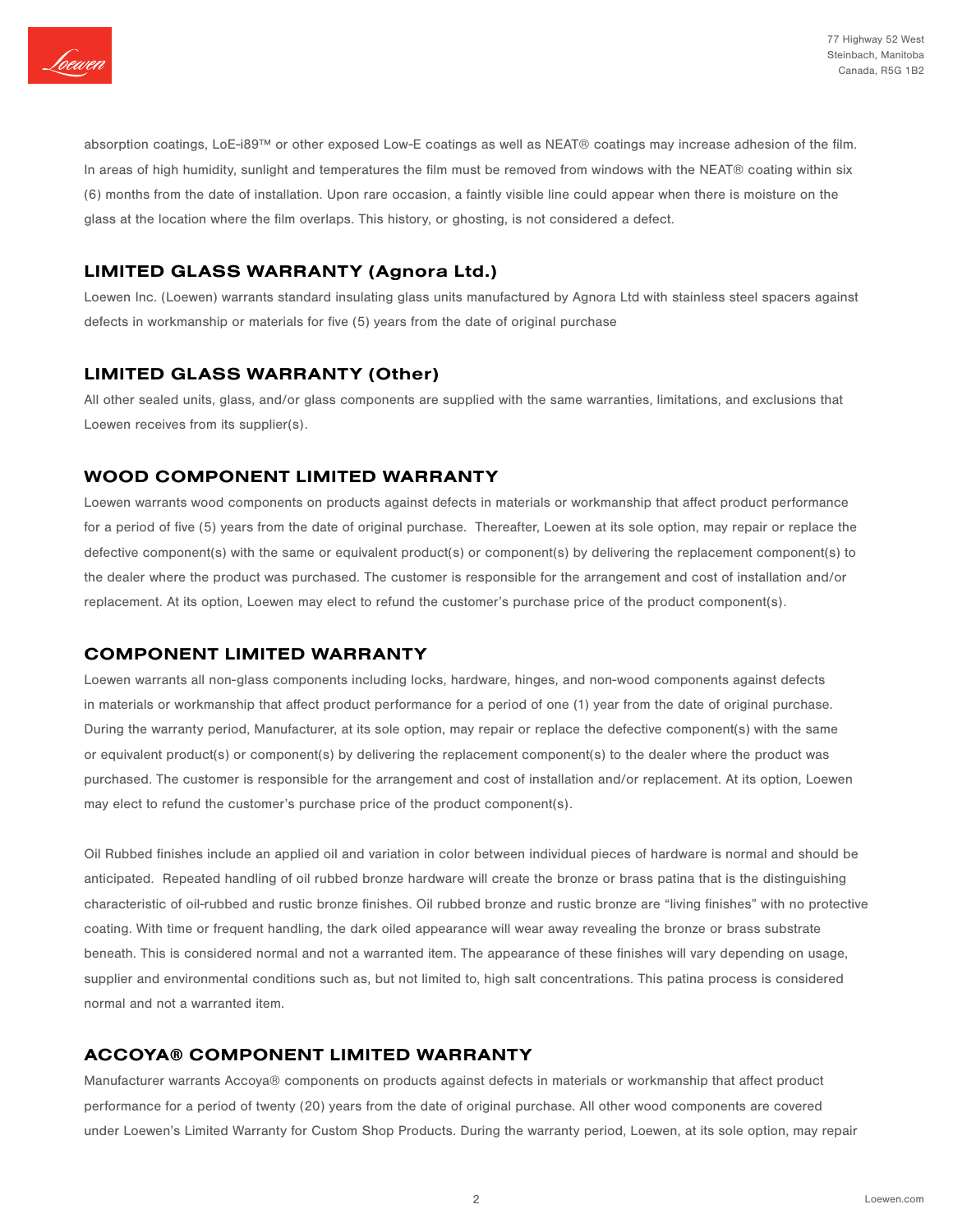

absorption coatings, LoE-i89™ or other exposed Low-E coatings as well as NEAT® coatings may increase adhesion of the film. In areas of high humidity, sunlight and temperatures the film must be removed from windows with the NEAT® coating within six (6) months from the date of installation. Upon rare occasion, a faintly visible line could appear when there is moisture on the glass at the location where the film overlaps. This history, or ghosting, is not considered a defect.

## LIMITED GLASS WARRANTY (Agnora Ltd.)

Loewen Inc. (Loewen) warrants standard insulating glass units manufactured by Agnora Ltd with stainless steel spacers against defects in workmanship or materials for five (5) years from the date of original purchase

## LIMITED GLASS WARRANTY (Other)

All other sealed units, glass, and/or glass components are supplied with the same warranties, limitations, and exclusions that Loewen receives from its supplier(s).

## WOOD COMPONENT LIMITED WARRANTY

Loewen warrants wood components on products against defects in materials or workmanship that affect product performance for a period of five (5) years from the date of original purchase. Thereafter, Loewen at its sole option, may repair or replace the defective component(s) with the same or equivalent product(s) or component(s) by delivering the replacement component(s) to the dealer where the product was purchased. The customer is responsible for the arrangement and cost of installation and/or replacement. At its option, Loewen may elect to refund the customer's purchase price of the product component(s).

## COMPONENT LIMITED WARRANTY

Loewen warrants all non-glass components including locks, hardware, hinges, and non-wood components against defects in materials or workmanship that affect product performance for a period of one (1) year from the date of original purchase. During the warranty period, Manufacturer, at its sole option, may repair or replace the defective component(s) with the same or equivalent product(s) or component(s) by delivering the replacement component(s) to the dealer where the product was purchased. The customer is responsible for the arrangement and cost of installation and/or replacement. At its option, Loewen may elect to refund the customer's purchase price of the product component(s).

Oil Rubbed finishes include an applied oil and variation in color between individual pieces of hardware is normal and should be anticipated. Repeated handling of oil rubbed bronze hardware will create the bronze or brass patina that is the distinguishing characteristic of oil-rubbed and rustic bronze finishes. Oil rubbed bronze and rustic bronze are "living finishes" with no protective coating. With time or frequent handling, the dark oiled appearance will wear away revealing the bronze or brass substrate beneath. This is considered normal and not a warranted item. The appearance of these finishes will vary depending on usage, supplier and environmental conditions such as, but not limited to, high salt concentrations. This patina process is considered normal and not a warranted item.

## ACCOYA® COMPONENT LIMITED WARRANTY

Manufacturer warrants Accoya® components on products against defects in materials or workmanship that affect product performance for a period of twenty (20) years from the date of original purchase. All other wood components are covered under Loewen's Limited Warranty for Custom Shop Products. During the warranty period, Loewen, at its sole option, may repair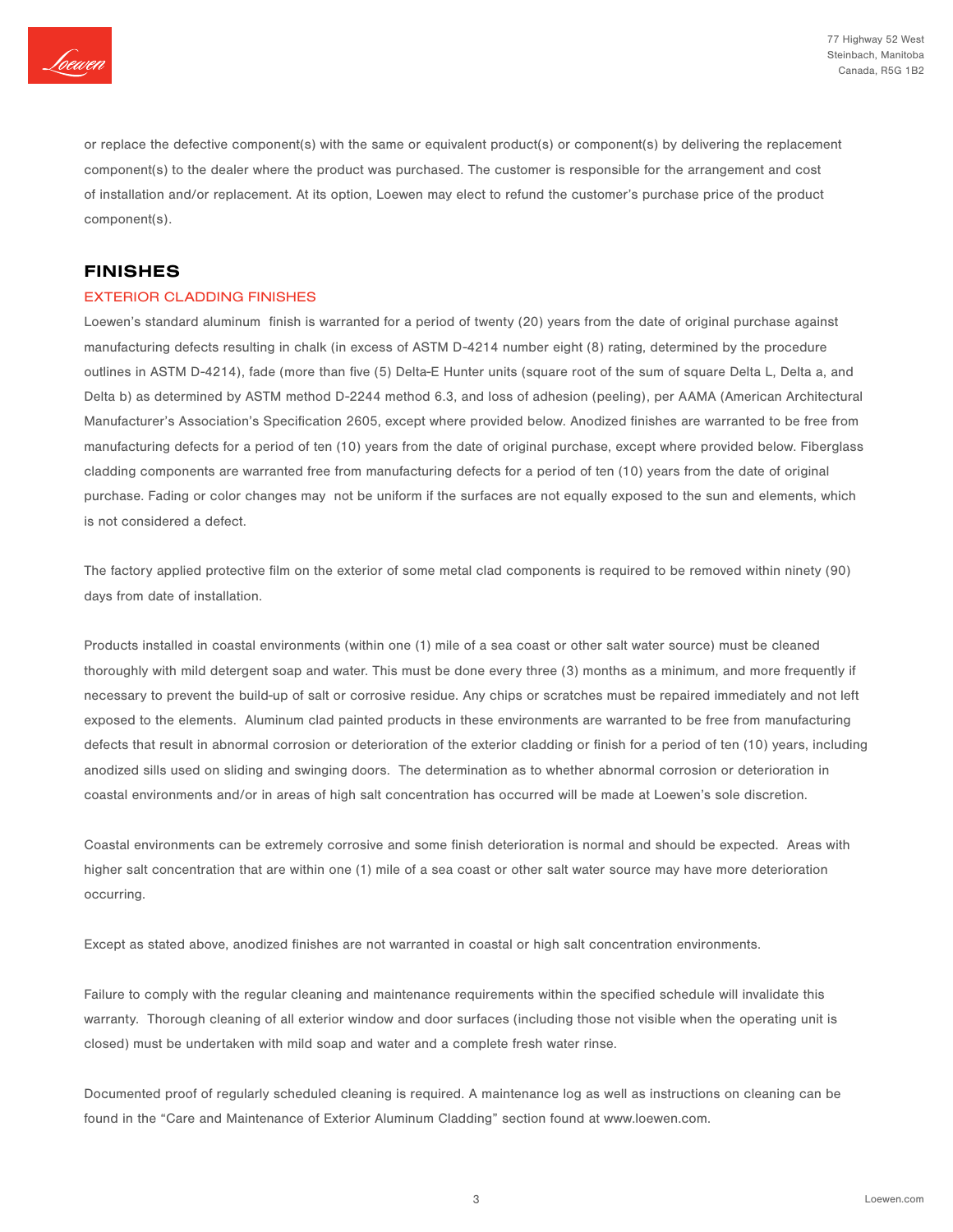

or replace the defective component(s) with the same or equivalent product(s) or component(s) by delivering the replacement component(s) to the dealer where the product was purchased. The customer is responsible for the arrangement and cost of installation and/or replacement. At its option, Loewen may elect to refund the customer's purchase price of the product component(s).

## FINISHES

#### EXTERIOR CLADDING FINISHES

Loewen's standard aluminum finish is warranted for a period of twenty (20) years from the date of original purchase against manufacturing defects resulting in chalk (in excess of ASTM D-4214 number eight (8) rating, determined by the procedure outlines in ASTM D-4214), fade (more than five (5) Delta-E Hunter units (square root of the sum of square Delta L, Delta a, and Delta b) as determined by ASTM method D-2244 method 6.3, and loss of adhesion (peeling), per AAMA (American Architectural Manufacturer's Association's Specification 2605, except where provided below. Anodized finishes are warranted to be free from manufacturing defects for a period of ten (10) years from the date of original purchase, except where provided below. Fiberglass cladding components are warranted free from manufacturing defects for a period of ten (10) years from the date of original purchase. Fading or color changes may not be uniform if the surfaces are not equally exposed to the sun and elements, which is not considered a defect.

The factory applied protective film on the exterior of some metal clad components is required to be removed within ninety (90) days from date of installation.

Products installed in coastal environments (within one (1) mile of a sea coast or other salt water source) must be cleaned thoroughly with mild detergent soap and water. This must be done every three (3) months as a minimum, and more frequently if necessary to prevent the build-up of salt or corrosive residue. Any chips or scratches must be repaired immediately and not left exposed to the elements. Aluminum clad painted products in these environments are warranted to be free from manufacturing defects that result in abnormal corrosion or deterioration of the exterior cladding or finish for a period of ten (10) years, including anodized sills used on sliding and swinging doors. The determination as to whether abnormal corrosion or deterioration in coastal environments and/or in areas of high salt concentration has occurred will be made at Loewen's sole discretion.

Coastal environments can be extremely corrosive and some finish deterioration is normal and should be expected. Areas with higher salt concentration that are within one (1) mile of a sea coast or other salt water source may have more deterioration occurring.

Except as stated above, anodized finishes are not warranted in coastal or high salt concentration environments.

Failure to comply with the regular cleaning and maintenance requirements within the specified schedule will invalidate this warranty. Thorough cleaning of all exterior window and door surfaces (including those not visible when the operating unit is closed) must be undertaken with mild soap and water and a complete fresh water rinse.

Documented proof of regularly scheduled cleaning is required. A maintenance log as well as instructions on cleaning can be found in the "Care and Maintenance of Exterior Aluminum Cladding" section found at www.loewen.com.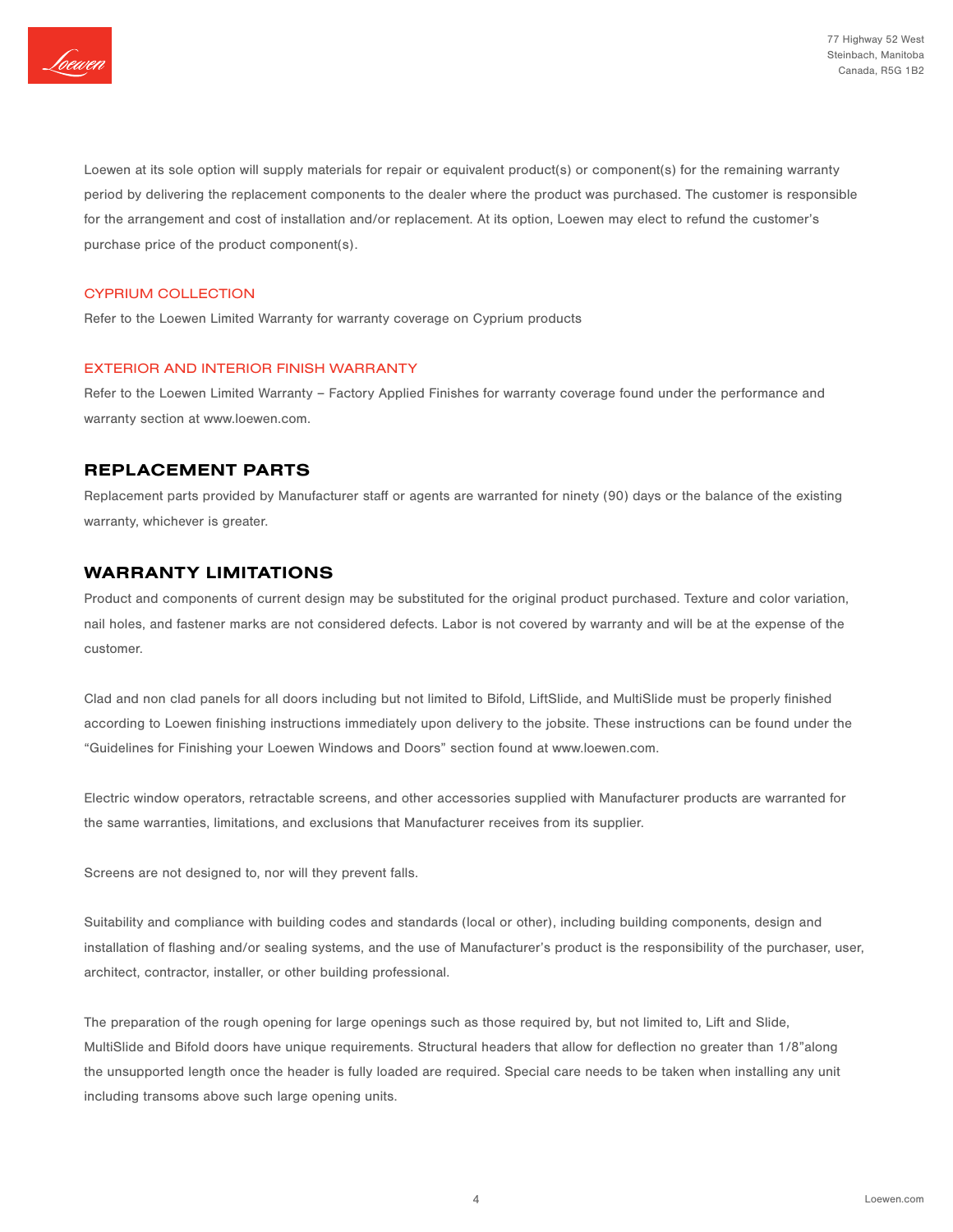

Loewen at its sole option will supply materials for repair or equivalent product(s) or component(s) for the remaining warranty period by delivering the replacement components to the dealer where the product was purchased. The customer is responsible for the arrangement and cost of installation and/or replacement. At its option, Loewen may elect to refund the customer's purchase price of the product component(s).

#### CYPRIUM COLLECTION

Refer to the Loewen Limited Warranty for warranty coverage on Cyprium products

#### EXTERIOR AND INTERIOR FINISH WARRANTY

Refer to the Loewen Limited Warranty – Factory Applied Finishes for warranty coverage found under the performance and warranty section at www.loewen.com.

## REPLACEMENT PARTS

Replacement parts provided by Manufacturer staff or agents are warranted for ninety (90) days or the balance of the existing warranty, whichever is greater.

## WARRANTY LIMITATIONS

Product and components of current design may be substituted for the original product purchased. Texture and color variation, nail holes, and fastener marks are not considered defects. Labor is not covered by warranty and will be at the expense of the customer.

Clad and non clad panels for all doors including but not limited to Bifold, LiftSlide, and MultiSlide must be properly finished according to Loewen finishing instructions immediately upon delivery to the jobsite. These instructions can be found under the "Guidelines for Finishing your Loewen Windows and Doors" section found at www.loewen.com.

Electric window operators, retractable screens, and other accessories supplied with Manufacturer products are warranted for the same warranties, limitations, and exclusions that Manufacturer receives from its supplier.

Screens are not designed to, nor will they prevent falls.

Suitability and compliance with building codes and standards (local or other), including building components, design and installation of flashing and/or sealing systems, and the use of Manufacturer's product is the responsibility of the purchaser, user, architect, contractor, installer, or other building professional.

The preparation of the rough opening for large openings such as those required by, but not limited to, Lift and Slide, MultiSlide and Bifold doors have unique requirements. Structural headers that allow for deflection no greater than 1/8"along the unsupported length once the header is fully loaded are required. Special care needs to be taken when installing any unit including transoms above such large opening units.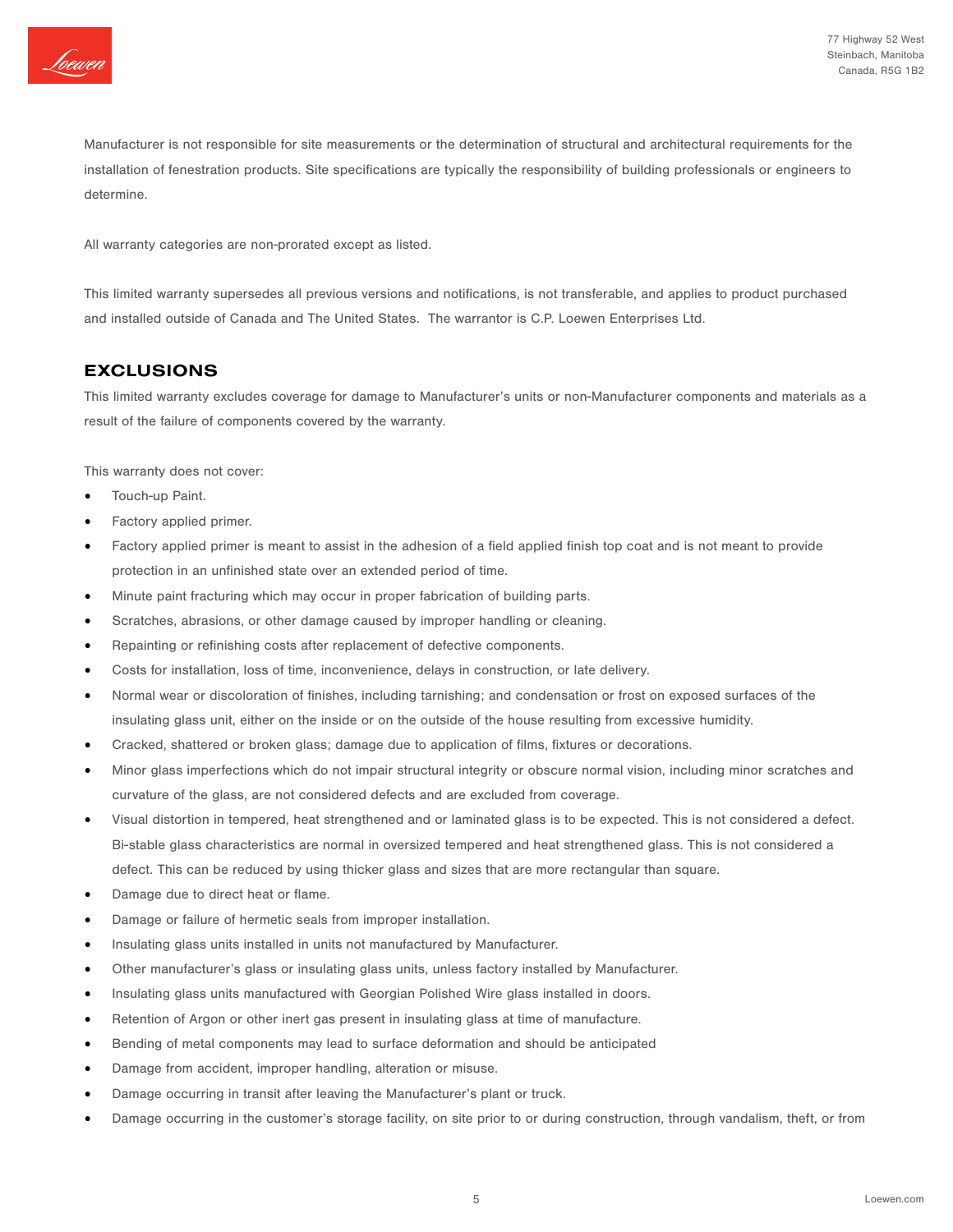

Manufacturer is not responsible for site measurements or the determination of structural and architectural requirements for the installation of fenestration products. Site specifications are typically the responsibility of building professionals or engineers to determine.

All warranty categories are non-prorated except as listed.

This limited warranty supersedes all previous versions and notifications, is not transferable, and applies to product purchased and installed outside of Canada and The United States. The warrantor is C.P. Loewen Enterprises Ltd.

## EXCLUSIONS

This limited warranty excludes coverage for damage to Manufacturer's units or non-Manufacturer components and materials as a result of the failure of components covered by the warranty.

This warranty does not cover:

- Touch-up Paint.
- Factory applied primer.
- Factory applied primer is meant to assist in the adhesion of a field applied finish top coat and is not meant to provide protection in an unfinished state over an extended period of time.
- Minute paint fracturing which may occur in proper fabrication of building parts.
- Scratches, abrasions, or other damage caused by improper handling or cleaning.
- Repainting or refinishing costs after replacement of defective components.
- Costs for installation, loss of time, inconvenience, delays in construction, or late delivery.
- Normal wear or discoloration of finishes, including tarnishing; and condensation or frost on exposed surfaces of the insulating glass unit, either on the inside or on the outside of the house resulting from excessive humidity.
- Cracked, shattered or broken glass; damage due to application of films, fixtures or decorations.
- Minor glass imperfections which do not impair structural integrity or obscure normal vision, including minor scratches and curvature of the glass, are not considered defects and are excluded from coverage.
- Visual distortion in tempered, heat strengthened and or laminated glass is to be expected. This is not considered a defect. Bi-stable glass characteristics are normal in oversized tempered and heat strengthened glass. This is not considered a defect. This can be reduced by using thicker glass and sizes that are more rectangular than square.
- Damage due to direct heat or flame.
- Damage or failure of hermetic seals from improper installation.
- Insulating glass units installed in units not manufactured by Manufacturer.
- Other manufacturer's glass or insulating glass units, unless factory installed by Manufacturer.
- Insulating glass units manufactured with Georgian Polished Wire glass installed in doors.
- Retention of Argon or other inert gas present in insulating glass at time of manufacture.
- Bending of metal components may lead to surface deformation and should be anticipated
- Damage from accident, improper handling, alteration or misuse.
- Damage occurring in transit after leaving the Manufacturer's plant or truck.
- Damage occurring in the customer's storage facility, on site prior to or during construction, through vandalism, theft, or from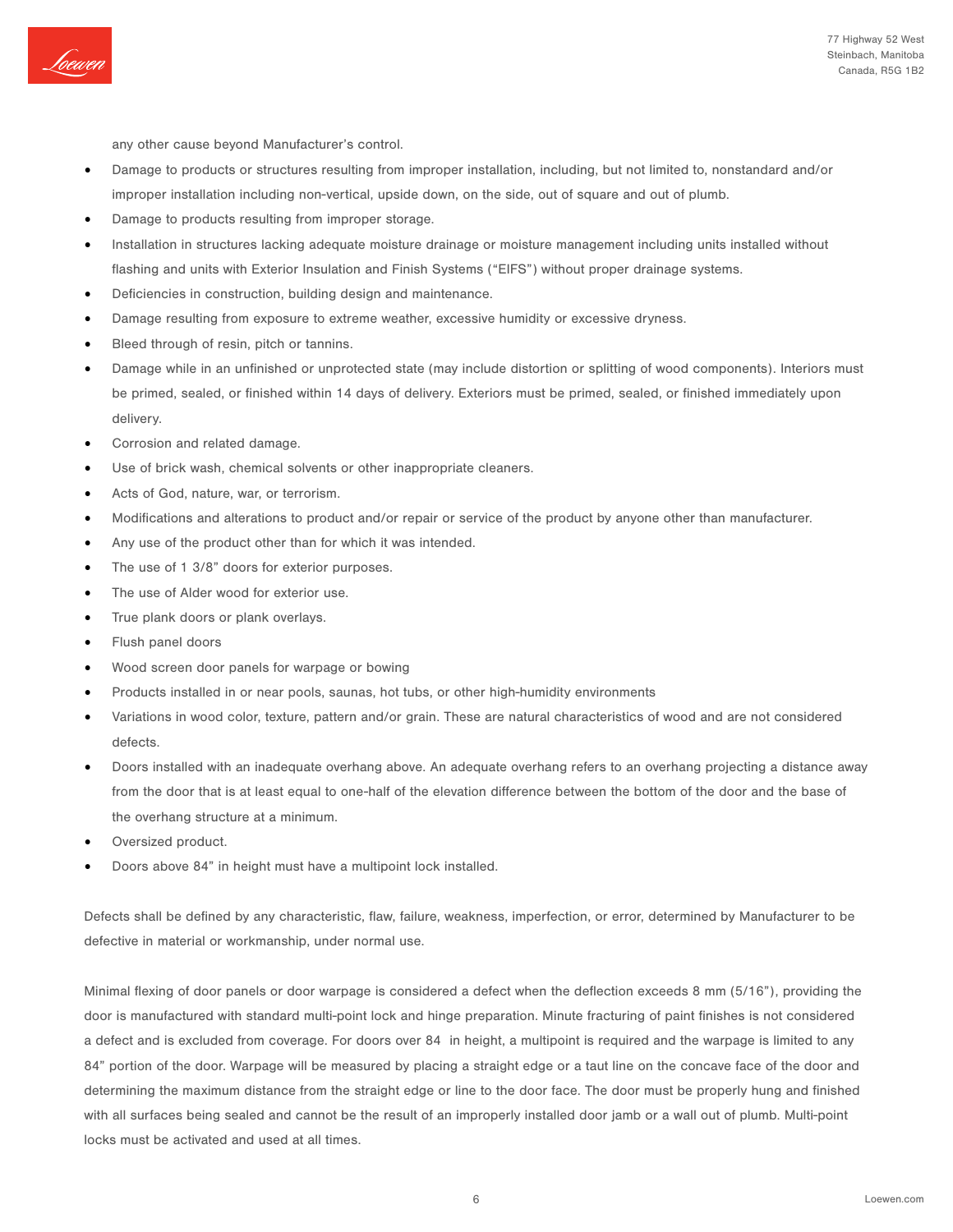

any other cause beyond Manufacturer's control.

- Damage to products or structures resulting from improper installation, including, but not limited to, nonstandard and/or improper installation including non-vertical, upside down, on the side, out of square and out of plumb.
- Damage to products resulting from improper storage.
- Installation in structures lacking adequate moisture drainage or moisture management including units installed without flashing and units with Exterior Insulation and Finish Systems ("EIFS") without proper drainage systems.
- Deficiencies in construction, building design and maintenance.
- Damage resulting from exposure to extreme weather, excessive humidity or excessive dryness.
- Bleed through of resin, pitch or tannins.
- Damage while in an unfinished or unprotected state (may include distortion or splitting of wood components). Interiors must be primed, sealed, or finished within 14 days of delivery. Exteriors must be primed, sealed, or finished immediately upon delivery.
- Corrosion and related damage.
- Use of brick wash, chemical solvents or other inappropriate cleaners.
- Acts of God, nature, war, or terrorism.
- Modifications and alterations to product and/or repair or service of the product by anyone other than manufacturer.
- Any use of the product other than for which it was intended.
- The use of 1 3/8" doors for exterior purposes.
- The use of Alder wood for exterior use.
- True plank doors or plank overlays.
- Flush panel doors
- Wood screen door panels for warpage or bowing
- Products installed in or near pools, saunas, hot tubs, or other high-humidity environments
- Variations in wood color, texture, pattern and/or grain. These are natural characteristics of wood and are not considered defects.
- Doors installed with an inadequate overhang above. An adequate overhang refers to an overhang projecting a distance away from the door that is at least equal to one-half of the elevation difference between the bottom of the door and the base of the overhang structure at a minimum.
- Oversized product.
- Doors above 84" in height must have a multipoint lock installed.

Defects shall be defined by any characteristic, flaw, failure, weakness, imperfection, or error, determined by Manufacturer to be defective in material or workmanship, under normal use.

Minimal flexing of door panels or door warpage is considered a defect when the deflection exceeds 8 mm (5/16"), providing the door is manufactured with standard multi-point lock and hinge preparation. Minute fracturing of paint finishes is not considered a defect and is excluded from coverage. For doors over 84 in height, a multipoint is required and the warpage is limited to any 84" portion of the door. Warpage will be measured by placing a straight edge or a taut line on the concave face of the door and determining the maximum distance from the straight edge or line to the door face. The door must be properly hung and finished with all surfaces being sealed and cannot be the result of an improperly installed door jamb or a wall out of plumb. Multi-point locks must be activated and used at all times.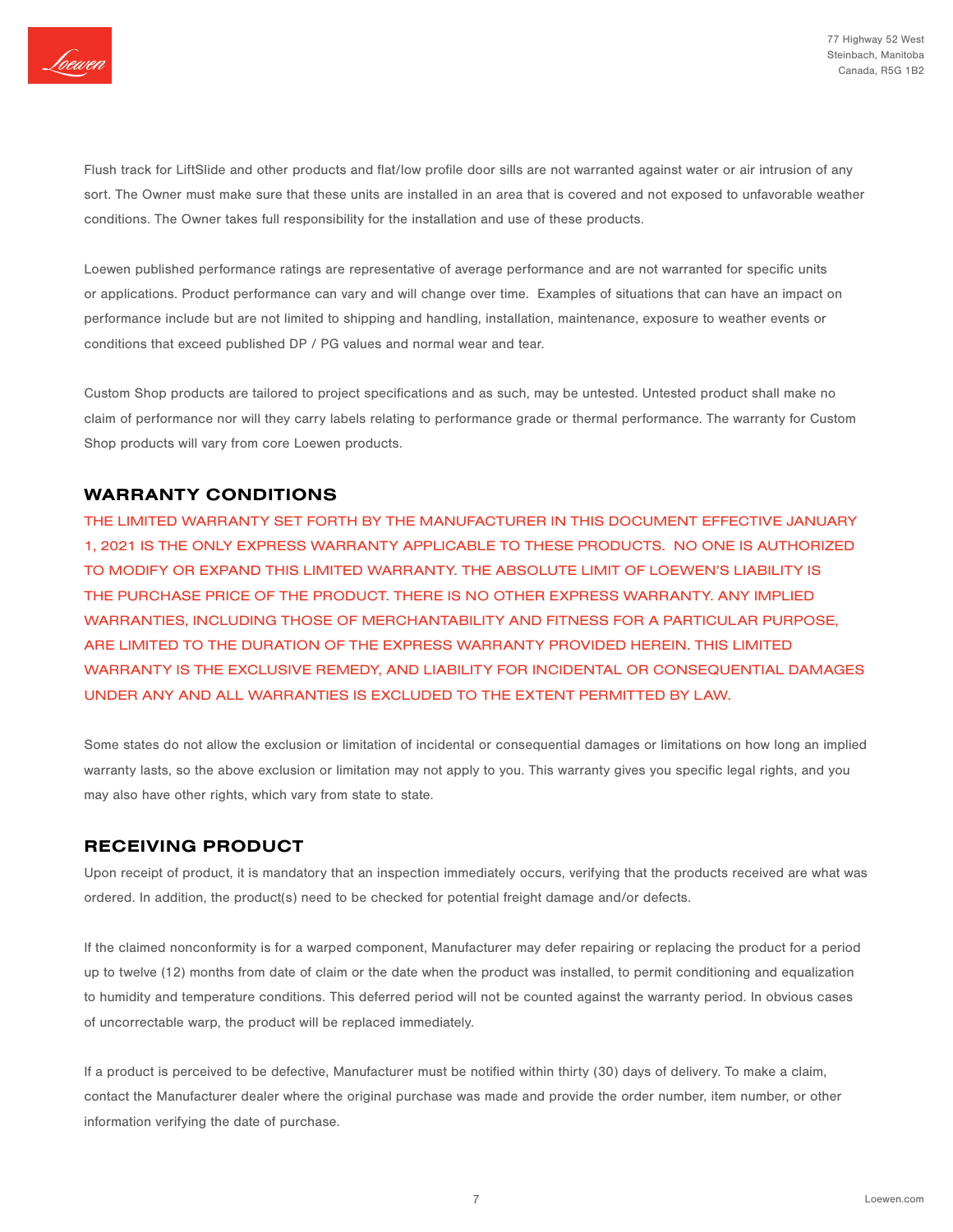

Flush track for LiftSlide and other products and flat/low profile door sills are not warranted against water or air intrusion of any sort. The Owner must make sure that these units are installed in an area that is covered and not exposed to unfavorable weather conditions. The Owner takes full responsibility for the installation and use of these products.

Loewen published performance ratings are representative of average performance and are not warranted for specific units or applications. Product performance can vary and will change over time. Examples of situations that can have an impact on performance include but are not limited to shipping and handling, installation, maintenance, exposure to weather events or conditions that exceed published DP / PG values and normal wear and tear.

Custom Shop products are tailored to project specifications and as such, may be untested. Untested product shall make no claim of performance nor will they carry labels relating to performance grade or thermal performance. The warranty for Custom Shop products will vary from core Loewen products.

## WARRANTY CONDITIONS

THE LIMITED WARRANTY SET FORTH BY THE MANUFACTURER IN THIS DOCUMENT EFFECTIVE JANUARY 1, 2021 IS THE ONLY EXPRESS WARRANTY APPLICABLE TO THESE PRODUCTS. NO ONE IS AUTHORIZED TO MODIFY OR EXPAND THIS LIMITED WARRANTY. THE ABSOLUTE LIMIT OF LOEWEN'S LIABILITY IS THE PURCHASE PRICE OF THE PRODUCT. THERE IS NO OTHER EXPRESS WARRANTY. ANY IMPLIED WARRANTIES, INCLUDING THOSE OF MERCHANTABILITY AND FITNESS FOR A PARTICULAR PURPOSE, ARE LIMITED TO THE DURATION OF THE EXPRESS WARRANTY PROVIDED HEREIN. THIS LIMITED WARRANTY IS THE EXCLUSIVE REMEDY, AND LIABILITY FOR INCIDENTAL OR CONSEQUENTIAL DAMAGES UNDER ANY AND ALL WARRANTIES IS EXCLUDED TO THE EXTENT PERMITTED BY LAW.

Some states do not allow the exclusion or limitation of incidental or consequential damages or limitations on how long an implied warranty lasts, so the above exclusion or limitation may not apply to you. This warranty gives you specific legal rights, and you may also have other rights, which vary from state to state.

## RECEIVING PRODUCT

Upon receipt of product, it is mandatory that an inspection immediately occurs, verifying that the products received are what was ordered. In addition, the product(s) need to be checked for potential freight damage and/or defects.

If the claimed nonconformity is for a warped component, Manufacturer may defer repairing or replacing the product for a period up to twelve (12) months from date of claim or the date when the product was installed, to permit conditioning and equalization to humidity and temperature conditions. This deferred period will not be counted against the warranty period. In obvious cases of uncorrectable warp, the product will be replaced immediately.

If a product is perceived to be defective, Manufacturer must be notified within thirty (30) days of delivery. To make a claim, contact the Manufacturer dealer where the original purchase was made and provide the order number, item number, or other information verifying the date of purchase.